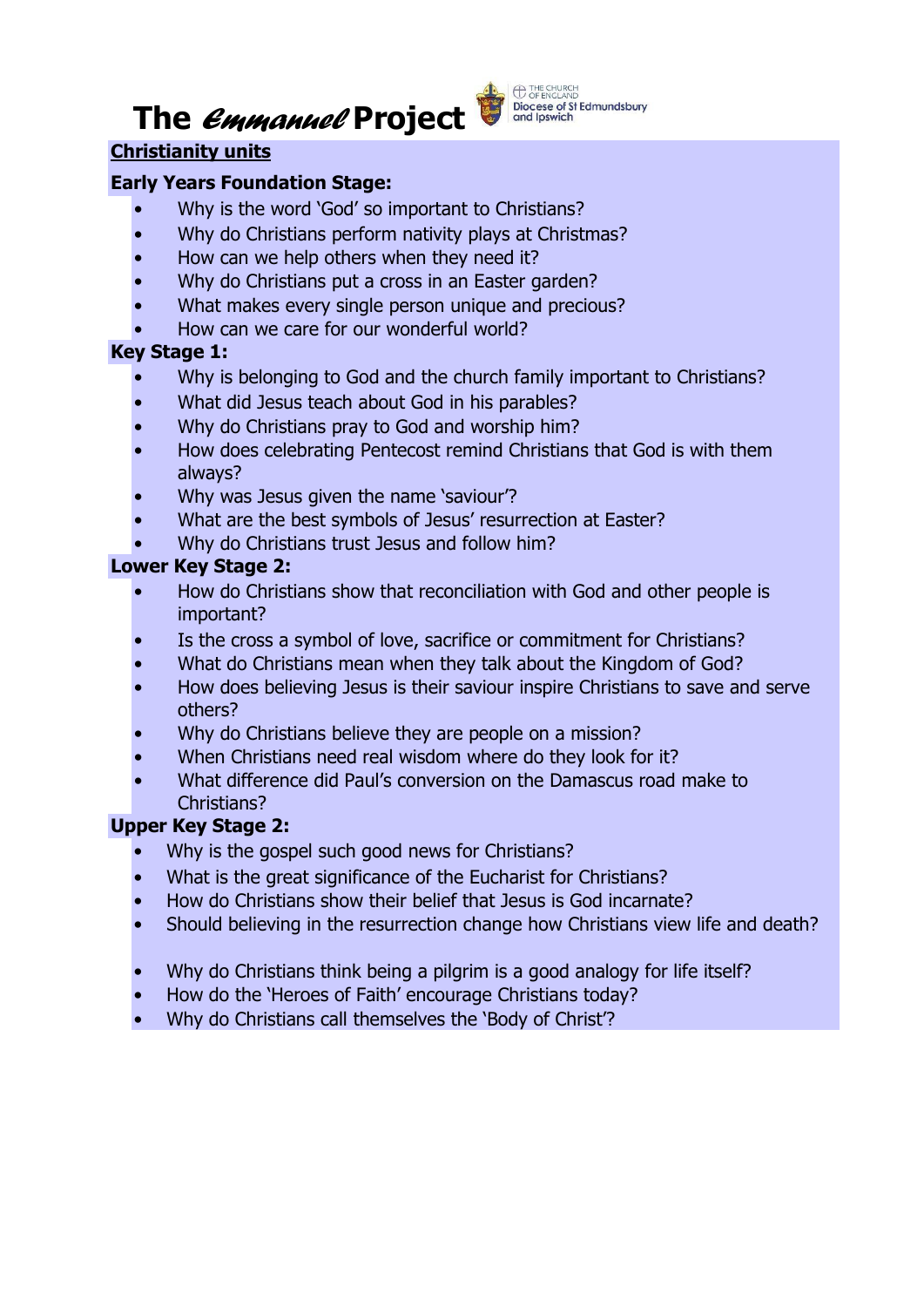# **The** *Emmanuel* **Project**



Diocese of St Edmundsbury<br>Diocese of St Edmundsbury<br>and Ipswich

# **Christianity units**

### **Early Years Foundation Stage:**

- Why is the word 'God' so important to Christians?
- Why do Christians perform nativity plays at Christmas?
- How can we help others when they need it?
- Why do Christians put a cross in an Easter garden?
- What makes every single person unique and precious?
- How can we care for our wonderful world?

#### **Key Stage 1:**

- Why is belonging to God and the church family important to Christians?
- What did Jesus teach about God in his parables?
- Why do Christians pray to God and worship him?
- How does celebrating Pentecost remind Christians that God is with them always?
- Why was Jesus given the name 'saviour'?
- What are the best symbols of Jesus' resurrection at Easter?
- Why do Christians trust Jesus and follow him?

# **Lower Key Stage 2:**

- How do Christians show that reconciliation with God and other people is important?
- Is the cross a symbol of love, sacrifice or commitment for Christians?
- What do Christians mean when they talk about the Kingdom of God?
- How does believing Jesus is their saviour inspire Christians to save and serve others?
- Why do Christians believe they are people on a mission?
- When Christians need real wisdom where do they look for it?
- What difference did Paul's conversion on the Damascus road make to Christians?

# **Upper Key Stage 2:**

- Why is the gospel such good news for Christians?
- What is the great significance of the Eucharist for Christians?
- How do Christians show their belief that Jesus is God incarnate?
- Should believing in the resurrection change how Christians view life and death?
- Why do Christians think being a pilgrim is a good analogy for life itself?
- How do the 'Heroes of Faith' encourage Christians today?
- Why do Christians call themselves the 'Body of Christ'?